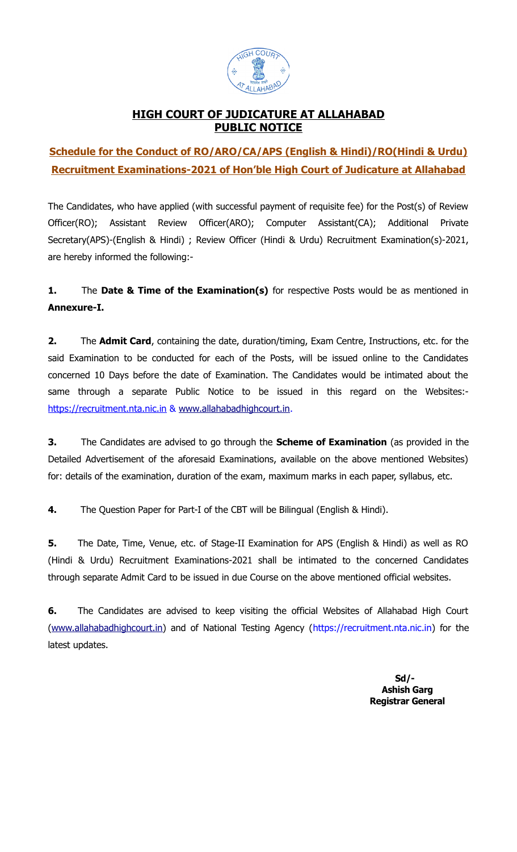

## **HIGH COURT OF JUDICATURE AT ALLAHABAD PUBLIC NOTICE**

## **Schedule for the Conduct of RO/ARO/CA/APS (English & Hindi)/RO(Hindi & Urdu) Recruitment Examinations-2021 of Hon'ble High Court of Judicature at Allahabad**

The Candidates, who have applied (with successful payment of requisite fee) for the Post(s) of Review Officer(RO); Assistant Review Officer(ARO); Computer Assistant(CA); Additional Private Secretary(APS)-(English & Hindi) ; Review Officer (Hindi & Urdu) Recruitment Examination(s)-2021, are hereby informed the following:-

## **1.** The **Date & Time of the Examination(s)** for respective Posts would be as mentioned in **Annexure-I.**

**2.** The **Admit Card**, containing the date, duration/timing, Exam Centre, Instructions, etc. for the said Examination to be conducted for each of the Posts, will be issued online to the Candidates concerned 10 Days before the date of Examination. The Candidates would be intimated about the same through a separate Public Notice to be issued in this regard on the Websites: https://recruitment.nta.nic.in & [www.allahabadhighcourt.in.](http://www.allahabadhighcourt.in/)

**3.** The Candidates are advised to go through the **Scheme of Examination** (as provided in the Detailed Advertisement of the aforesaid Examinations, available on the above mentioned Websites) for: details of the examination, duration of the exam, maximum marks in each paper, syllabus, etc.

**4.** The Question Paper for Part-I of the CBT will be Bilingual (English & Hindi).

**5.** The Date, Time, Venue, etc. of Stage-II Examination for APS (English & Hindi) as well as RO (Hindi & Urdu) Recruitment Examinations-2021 shall be intimated to the concerned Candidates through separate Admit Card to be issued in due Course on the above mentioned official websites.

**6.** The Candidates are advised to keep visiting the official Websites of Allahabad High Court [\(www.allahabadhighcourt.in\)](http://www.allahabadhighcourt.in/) and of National Testing Agency (https://recruitment.nta.nic.in) for the latest updates.

> **Sd/- Ashish Garg Registrar General**